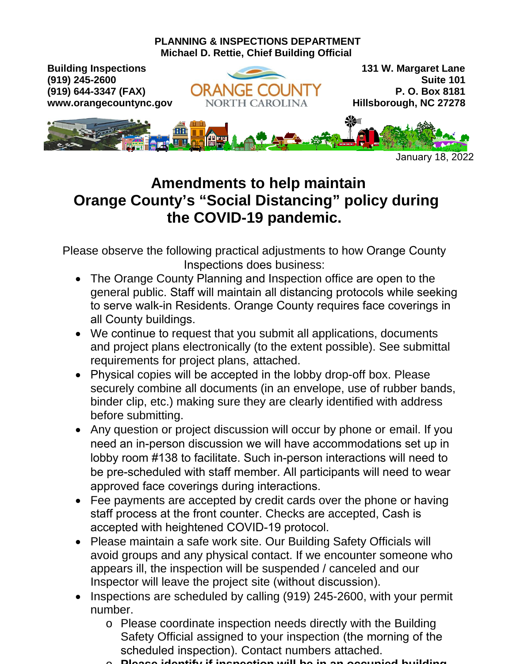

# **Amendments to help maintain Orange County's "Social Distancing" policy during the COVID-19 pandemic.**

Please observe the following practical adjustments to how Orange County Inspections does business:

- The Orange County Planning and Inspection office are open to the general public. Staff will maintain all distancing protocols while seeking to serve walk-in Residents. Orange County requires face coverings in all County buildings.
- We continue to request that you submit all applications, documents and project plans electronically (to the extent possible). See submittal requirements for project plans, attached.
- Physical copies will be accepted in the lobby drop-off box. Please securely combine all documents (in an envelope, use of rubber bands, binder clip, etc.) making sure they are clearly identified with address before submitting.
- Any question or project discussion will occur by phone or email. If you need an in-person discussion we will have accommodations set up in lobby room #138 to facilitate. Such in-person interactions will need to be pre-scheduled with staff member. All participants will need to wear approved face coverings during interactions.
- Fee payments are accepted by credit cards over the phone or having staff process at the front counter. Checks are accepted, Cash is accepted with heightened COVID-19 protocol.
- Please maintain a safe work site. Our Building Safety Officials will avoid groups and any physical contact. If we encounter someone who appears ill, the inspection will be suspended / canceled and our Inspector will leave the project site (without discussion).
- Inspections are scheduled by calling (919) 245-2600, with your permit number.
	- o Please coordinate inspection needs directly with the Building Safety Official assigned to your inspection (the morning of the scheduled inspection). Contact numbers attached.
	- o **Please identify if inspection will be in an occupied building.**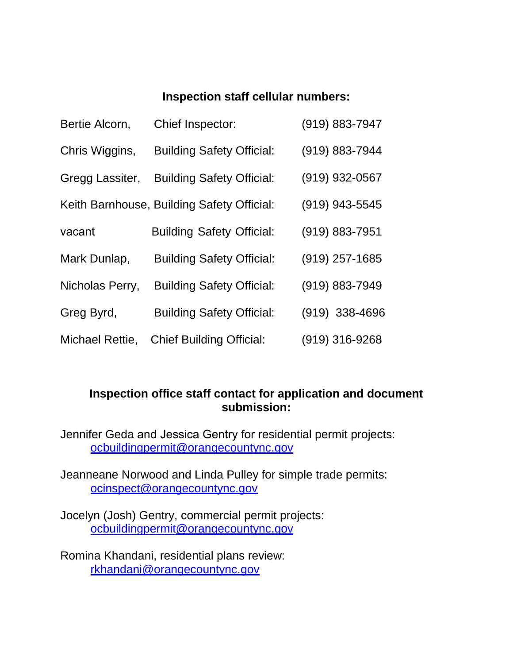## **Inspection staff cellular numbers:**

| Bertie Alcorn,  | Chief Inspector:                           | (919) 883-7947   |
|-----------------|--------------------------------------------|------------------|
| Chris Wiggins,  | <b>Building Safety Official:</b>           | (919) 883-7944   |
| Gregg Lassiter, | <b>Building Safety Official:</b>           | (919) 932-0567   |
|                 | Keith Barnhouse, Building Safety Official: | (919) 943-5545   |
| vacant          | <b>Building Safety Official:</b>           | (919) 883-7951   |
| Mark Dunlap,    | <b>Building Safety Official:</b>           | $(919)$ 257-1685 |
| Nicholas Perry, | <b>Building Safety Official:</b>           | (919) 883-7949   |
| Greg Byrd,      | <b>Building Safety Official:</b>           | $(919)$ 338-4696 |
| Michael Rettie, | <b>Chief Building Official:</b>            | (919) 316-9268   |

## **Inspection office staff contact for application and document submission:**

Jennifer Geda and Jessica Gentry for residential permit projects: [ocbuildingpermit@orangecountync.gov](mailto:mahernandez@orangecountync.gov)

Jeanneane Norwood and Linda Pulley for simple trade permits: [ocinspect@orangecountync.gov](mailto:ocinspect@orangecountync.gov)

Jocelyn (Josh) Gentry, commercial permit projects: [ocbuildingpermit@](mailto:ocbuildingpermit)orangecountync.gov

Romina Khandani, residential plans review: [rkhandani@orangecountync.gov](mailto:rkhandani@orangecountync.gov)